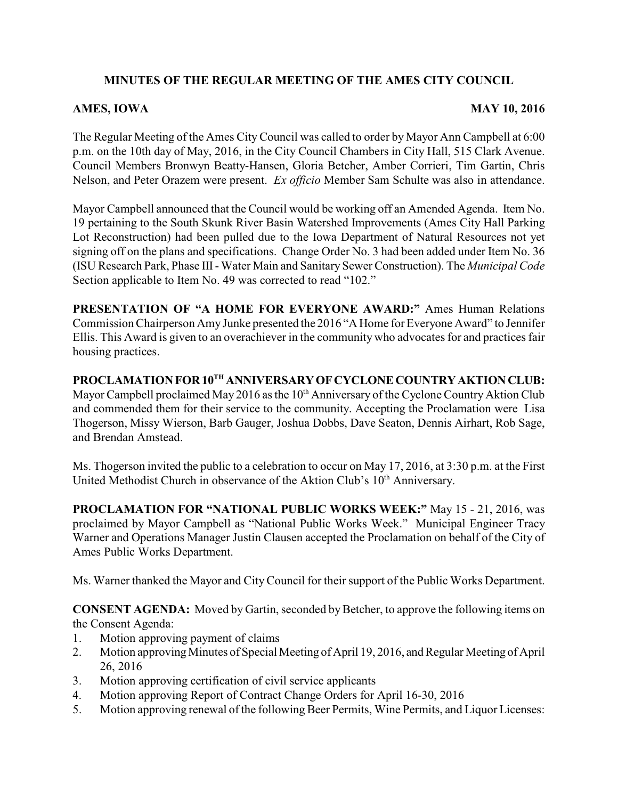## **MINUTES OF THE REGULAR MEETING OF THE AMES CITY COUNCIL**

## **AMES, IOWA** MAY 10, 2016

The Regular Meeting of the Ames City Council was called to order by Mayor Ann Campbell at 6:00 p.m. on the 10th day of May, 2016, in the City Council Chambers in City Hall, 515 Clark Avenue. Council Members Bronwyn Beatty-Hansen, Gloria Betcher, Amber Corrieri, Tim Gartin, Chris Nelson, and Peter Orazem were present. *Ex officio* Member Sam Schulte was also in attendance.

Mayor Campbell announced that the Council would be working off an Amended Agenda. Item No. 19 pertaining to the South Skunk River Basin Watershed Improvements (Ames City Hall Parking Lot Reconstruction) had been pulled due to the Iowa Department of Natural Resources not yet signing off on the plans and specifications. Change Order No. 3 had been added under Item No. 36 (ISU Research Park, Phase III- Water Main and Sanitary Sewer Construction). The *Municipal Code* Section applicable to Item No. 49 was corrected to read "102."

**PRESENTATION OF "A HOME FOR EVERYONE AWARD:"** Ames Human Relations Commission Chairperson AmyJunke presented the 2016 "A Home for Everyone Award" to Jennifer Ellis. This Award is given to an overachiever in the community who advocates for and practices fair housing practices.

**PROCLAMATION FOR 10TH ANNIVERSARY OF CYCLONE COUNTRY AKTION CLUB:** Mayor Campbell proclaimed May 2016 as the 10<sup>th</sup> Anniversary of the Cyclone Country Aktion Club and commended them for their service to the community. Accepting the Proclamation were Lisa Thogerson, Missy Wierson, Barb Gauger, Joshua Dobbs, Dave Seaton, Dennis Airhart, Rob Sage, and Brendan Amstead.

Ms. Thogerson invited the public to a celebration to occur on May 17, 2016, at 3:30 p.m. at the First United Methodist Church in observance of the Aktion Club's 10<sup>th</sup> Anniversary.

**PROCLAMATION FOR "NATIONAL PUBLIC WORKS WEEK:"** May 15 - 21, 2016, was proclaimed by Mayor Campbell as "National Public Works Week." Municipal Engineer Tracy Warner and Operations Manager Justin Clausen accepted the Proclamation on behalf of the City of Ames Public Works Department.

Ms. Warner thanked the Mayor and City Council for their support of the Public Works Department.

**CONSENT AGENDA:** Moved by Gartin, seconded by Betcher, to approve the following items on the Consent Agenda:

- 1. Motion approving payment of claims
- 2. Motion approving Minutes of Special Meeting of April 19, 2016, and Regular Meeting of April 26, 2016
- 3. Motion approving certification of civil service applicants
- 4. Motion approving Report of Contract Change Orders for April 16-30, 2016
- 5. Motion approving renewal of the following Beer Permits, Wine Permits, and Liquor Licenses: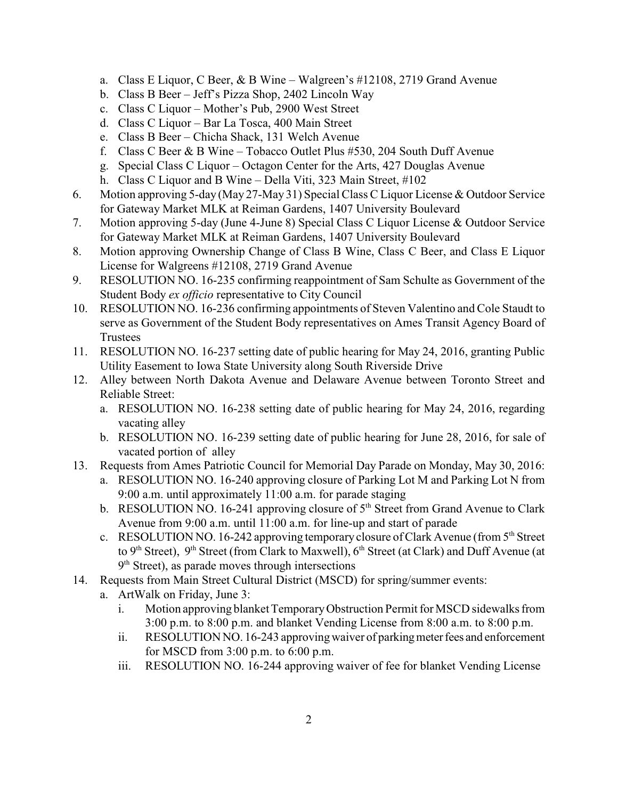- a. Class E Liquor, C Beer, & B Wine Walgreen's #12108, 2719 Grand Avenue
- b. Class B Beer Jeff's Pizza Shop, 2402 Lincoln Way
- c. Class C Liquor Mother's Pub, 2900 West Street
- d. Class C Liquor Bar La Tosca, 400 Main Street
- e. Class B Beer Chicha Shack, 131 Welch Avenue
- f. Class C Beer & B Wine Tobacco Outlet Plus #530, 204 South Duff Avenue
- g. Special Class C Liquor Octagon Center for the Arts, 427 Douglas Avenue
- h. Class C Liquor and B Wine Della Viti, 323 Main Street, #102
- 6. Motion approving 5-day (May 27-May 31) Special Class C Liquor License & Outdoor Service for Gateway Market MLK at Reiman Gardens, 1407 University Boulevard
- 7. Motion approving 5-day (June 4-June 8) Special Class C Liquor License & Outdoor Service for Gateway Market MLK at Reiman Gardens, 1407 University Boulevard
- 8. Motion approving Ownership Change of Class B Wine, Class C Beer, and Class E Liquor License for Walgreens #12108, 2719 Grand Avenue
- 9. RESOLUTION NO. 16-235 confirming reappointment of Sam Schulte as Government of the Student Body *ex officio* representative to City Council
- 10. RESOLUTION NO. 16-236 confirming appointments of Steven Valentino and Cole Staudt to serve as Government of the Student Body representatives on Ames Transit Agency Board of Trustees
- 11. RESOLUTION NO. 16-237 setting date of public hearing for May 24, 2016, granting Public Utility Easement to Iowa State University along South Riverside Drive
- 12. Alley between North Dakota Avenue and Delaware Avenue between Toronto Street and Reliable Street:
	- a. RESOLUTION NO. 16-238 setting date of public hearing for May 24, 2016, regarding vacating alley
	- b. RESOLUTION NO. 16-239 setting date of public hearing for June 28, 2016, for sale of vacated portion of alley
- 13. Requests from Ames Patriotic Council for Memorial Day Parade on Monday, May 30, 2016:
	- a. RESOLUTION NO. 16-240 approving closure of Parking Lot M and Parking Lot N from 9:00 a.m. until approximately 11:00 a.m. for parade staging
	- b. RESOLUTION NO. 16-241 approving closure of  $5<sup>th</sup>$  Street from Grand Avenue to Clark Avenue from 9:00 a.m. until 11:00 a.m. for line-up and start of parade
	- c. RESOLUTION NO. 16-242 approving temporary closure of Clark Avenue (from  $5<sup>th</sup>$  Street to 9<sup>th</sup> Street), 9<sup>th</sup> Street (from Clark to Maxwell), 6<sup>th</sup> Street (at Clark) and Duff Avenue (at  $9<sup>th</sup> Street$ ), as parade moves through intersections
- 14. Requests from Main Street Cultural District (MSCD) for spring/summer events:
	- a. ArtWalk on Friday, June 3:
		- i. Motion approving blanket TemporaryObstruction Permit for MSCD sidewalks from 3:00 p.m. to 8:00 p.m. and blanket Vending License from 8:00 a.m. to 8:00 p.m.
		- ii. RESOLUTION NO. 16-243 approving waiver of parking meter fees and enforcement for MSCD from 3:00 p.m. to 6:00 p.m.
		- iii. RESOLUTION NO. 16-244 approving waiver of fee for blanket Vending License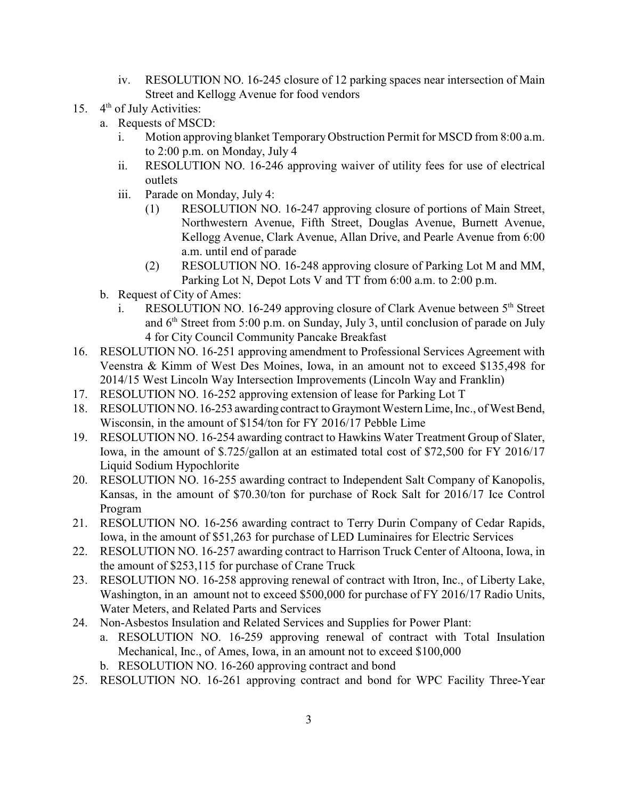- iv. RESOLUTION NO. 16-245 closure of 12 parking spaces near intersection of Main Street and Kellogg Avenue for food vendors
- 15.  $4<sup>th</sup>$  of July Activities:
	- a. Requests of MSCD:
		- i. Motion approving blanket Temporary Obstruction Permit for MSCD from 8:00 a.m. to 2:00 p.m. on Monday, July 4
		- ii. RESOLUTION NO. 16-246 approving waiver of utility fees for use of electrical outlets
		- iii. Parade on Monday, July 4:
			- (1) RESOLUTION NO. 16-247 approving closure of portions of Main Street, Northwestern Avenue, Fifth Street, Douglas Avenue, Burnett Avenue, Kellogg Avenue, Clark Avenue, Allan Drive, and Pearle Avenue from 6:00 a.m. until end of parade
			- (2) RESOLUTION NO. 16-248 approving closure of Parking Lot M and MM, Parking Lot N, Depot Lots V and TT from 6:00 a.m. to 2:00 p.m.
	- b. Request of City of Ames:
		- i. RESOLUTION NO. 16-249 approving closure of Clark Avenue between  $5<sup>th</sup>$  Street and  $6<sup>th</sup>$  Street from 5:00 p.m. on Sunday, July 3, until conclusion of parade on July 4 for City Council Community Pancake Breakfast
- 16. RESOLUTION NO. 16-251 approving amendment to Professional Services Agreement with Veenstra & Kimm of West Des Moines, Iowa, in an amount not to exceed \$135,498 for 2014/15 West Lincoln Way Intersection Improvements (Lincoln Way and Franklin)
- 17. RESOLUTION NO. 16-252 approving extension of lease for Parking Lot T
- 18. RESOLUTION NO. 16-253 awarding contract to Graymont Western Lime, Inc., of West Bend, Wisconsin, in the amount of \$154/ton for FY 2016/17 Pebble Lime
- 19. RESOLUTION NO. 16-254 awarding contract to Hawkins Water Treatment Group of Slater, Iowa, in the amount of \$.725/gallon at an estimated total cost of \$72,500 for FY 2016/17 Liquid Sodium Hypochlorite
- 20. RESOLUTION NO. 16-255 awarding contract to Independent Salt Company of Kanopolis, Kansas, in the amount of \$70.30/ton for purchase of Rock Salt for 2016/17 Ice Control Program
- 21. RESOLUTION NO. 16-256 awarding contract to Terry Durin Company of Cedar Rapids, Iowa, in the amount of \$51,263 for purchase of LED Luminaires for Electric Services
- 22. RESOLUTION NO. 16-257 awarding contract to Harrison Truck Center of Altoona, Iowa, in the amount of \$253,115 for purchase of Crane Truck
- 23. RESOLUTION NO. 16-258 approving renewal of contract with Itron, Inc., of Liberty Lake, Washington, in an amount not to exceed \$500,000 for purchase of FY 2016/17 Radio Units, Water Meters, and Related Parts and Services
- 24. Non-Asbestos Insulation and Related Services and Supplies for Power Plant:
	- a. RESOLUTION NO. 16-259 approving renewal of contract with Total Insulation Mechanical, Inc., of Ames, Iowa, in an amount not to exceed \$100,000
	- b. RESOLUTION NO. 16-260 approving contract and bond
- 25. RESOLUTION NO. 16-261 approving contract and bond for WPC Facility Three-Year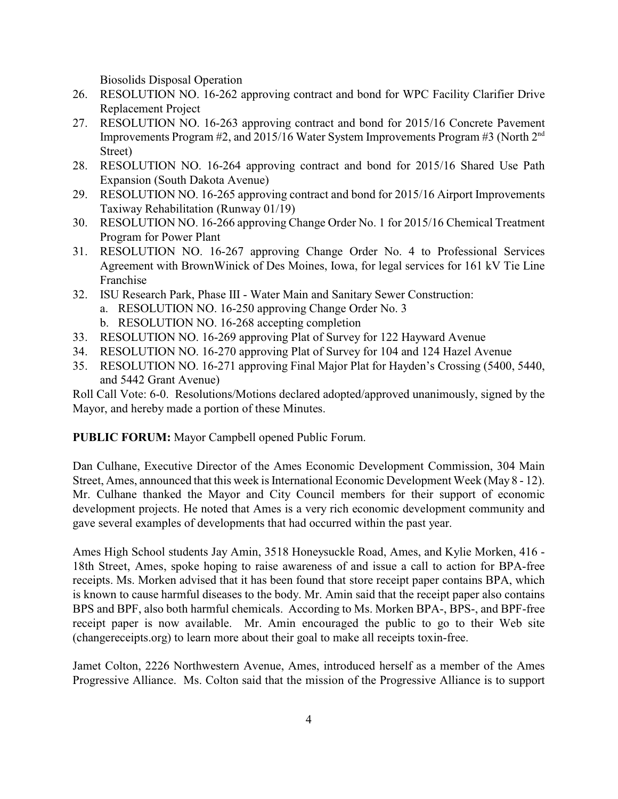Biosolids Disposal Operation

- 26. RESOLUTION NO. 16-262 approving contract and bond for WPC Facility Clarifier Drive Replacement Project
- 27. RESOLUTION NO. 16-263 approving contract and bond for 2015/16 Concrete Pavement Improvements Program #2, and 2015/16 Water System Improvements Program #3 (North 2nd Street)
- 28. RESOLUTION NO. 16-264 approving contract and bond for 2015/16 Shared Use Path Expansion (South Dakota Avenue)
- 29. RESOLUTION NO. 16-265 approving contract and bond for 2015/16 Airport Improvements Taxiway Rehabilitation (Runway 01/19)
- 30. RESOLUTION NO. 16-266 approving Change Order No. 1 for 2015/16 Chemical Treatment Program for Power Plant
- 31. RESOLUTION NO. 16-267 approving Change Order No. 4 to Professional Services Agreement with BrownWinick of Des Moines, Iowa, for legal services for 161 kV Tie Line Franchise
- 32. ISU Research Park, Phase III Water Main and Sanitary Sewer Construction:
	- a. RESOLUTION NO. 16-250 approving Change Order No. 3
	- b. RESOLUTION NO. 16-268 accepting completion
- 33. RESOLUTION NO. 16-269 approving Plat of Survey for 122 Hayward Avenue
- 34. RESOLUTION NO. 16-270 approving Plat of Survey for 104 and 124 Hazel Avenue
- 35. RESOLUTION NO. 16-271 approving Final Major Plat for Hayden's Crossing (5400, 5440, and 5442 Grant Avenue)

Roll Call Vote: 6-0. Resolutions/Motions declared adopted/approved unanimously, signed by the Mayor, and hereby made a portion of these Minutes.

**PUBLIC FORUM:** Mayor Campbell opened Public Forum.

Dan Culhane, Executive Director of the Ames Economic Development Commission, 304 Main Street, Ames, announced that this week is International Economic Development Week (May 8 - 12). Mr. Culhane thanked the Mayor and City Council members for their support of economic development projects. He noted that Ames is a very rich economic development community and gave several examples of developments that had occurred within the past year.

Ames High School students Jay Amin, 3518 Honeysuckle Road, Ames, and Kylie Morken, 416 - 18th Street, Ames, spoke hoping to raise awareness of and issue a call to action for BPA-free receipts. Ms. Morken advised that it has been found that store receipt paper contains BPA, which is known to cause harmful diseases to the body. Mr. Amin said that the receipt paper also contains BPS and BPF, also both harmful chemicals. According to Ms. Morken BPA-, BPS-, and BPF-free receipt paper is now available. Mr. Amin encouraged the public to go to their Web site (changereceipts.org) to learn more about their goal to make all receipts toxin-free.

Jamet Colton, 2226 Northwestern Avenue, Ames, introduced herself as a member of the Ames Progressive Alliance. Ms. Colton said that the mission of the Progressive Alliance is to support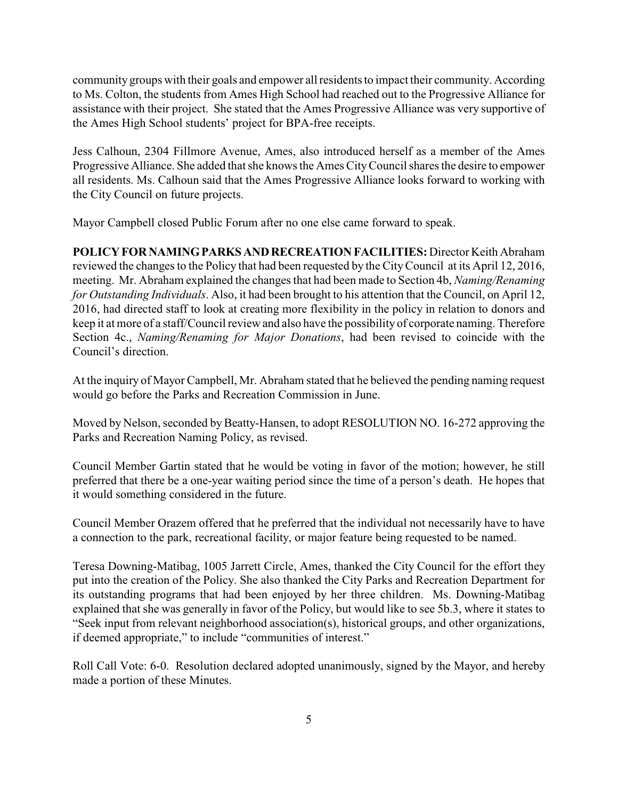community groups with their goals and empower all residents to impact their community. According to Ms. Colton, the students from Ames High School had reached out to the Progressive Alliance for assistance with their project. She stated that the Ames Progressive Alliance was very supportive of the Ames High School students' project for BPA-free receipts.

Jess Calhoun, 2304 Fillmore Avenue, Ames, also introduced herself as a member of the Ames Progressive Alliance. She added that she knows the Ames City Council shares the desire to empower all residents. Ms. Calhoun said that the Ames Progressive Alliance looks forward to working with the City Council on future projects.

Mayor Campbell closed Public Forum after no one else came forward to speak.

**POLICY FOR NAMING PARKS AND RECREATION FACILITIES:** Director Keith Abraham reviewed the changes to the Policy that had been requested by the City Council at its April 12, 2016, meeting. Mr. Abraham explained the changes that had been made to Section 4b, *Naming/Renaming for Outstanding Individuals*. Also, it had been brought to his attention that the Council, on April 12, 2016, had directed staff to look at creating more flexibility in the policy in relation to donors and keep it at more of a staff/Council review and also have the possibility of corporate naming. Therefore Section 4c., *Naming/Renaming for Major Donations*, had been revised to coincide with the Council's direction.

At the inquiry of Mayor Campbell, Mr. Abraham stated that he believed the pending naming request would go before the Parks and Recreation Commission in June.

Moved by Nelson, seconded by Beatty-Hansen, to adopt RESOLUTION NO. 16-272 approving the Parks and Recreation Naming Policy, as revised.

Council Member Gartin stated that he would be voting in favor of the motion; however, he still preferred that there be a one-year waiting period since the time of a person's death. He hopes that it would something considered in the future.

Council Member Orazem offered that he preferred that the individual not necessarily have to have a connection to the park, recreational facility, or major feature being requested to be named.

Teresa Downing-Matibag, 1005 Jarrett Circle, Ames, thanked the City Council for the effort they put into the creation of the Policy. She also thanked the City Parks and Recreation Department for its outstanding programs that had been enjoyed by her three children. Ms. Downing-Matibag explained that she was generally in favor of the Policy, but would like to see 5b.3, where it states to "Seek input from relevant neighborhood association(s), historical groups, and other organizations, if deemed appropriate," to include "communities of interest."

Roll Call Vote: 6-0. Resolution declared adopted unanimously, signed by the Mayor, and hereby made a portion of these Minutes.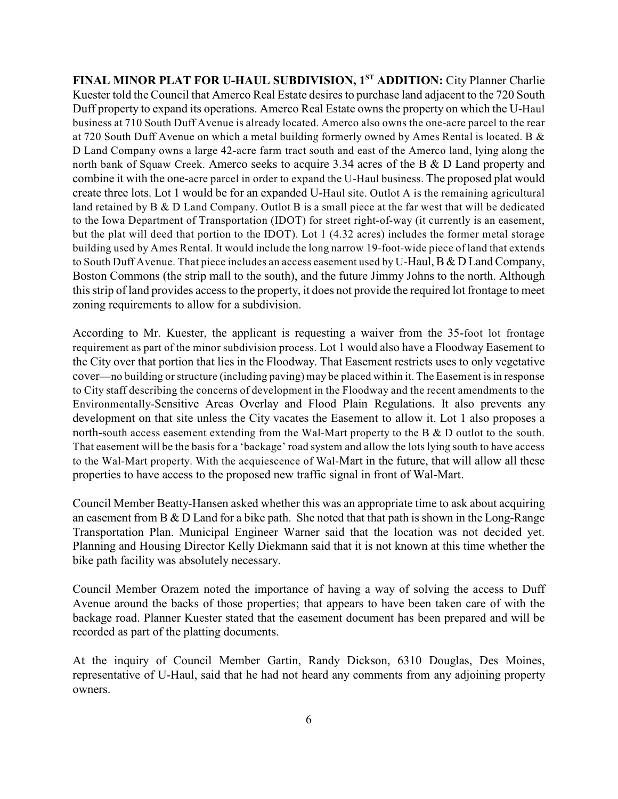**FINAL MINOR PLAT FOR U-HAUL SUBDIVISION, 1ST ADDITION: City Planner Charlie** Kuester told the Council that Amerco Real Estate desires to purchase land adjacent to the 720 South Duff property to expand its operations. Amerco Real Estate owns the property on which the U-Haul business at 710 South Duff Avenue is already located. Amerco also owns the one-acre parcel to the rear at 720 South Duff Avenue on which a metal building formerly owned by Ames Rental is located. B & D Land Company owns a large 42-acre farm tract south and east of the Amerco land, lying along the north bank of Squaw Creek. Amerco seeks to acquire 3.34 acres of the B & D Land property and combine it with the one-acre parcel in order to expand the U-Haul business. The proposed plat would create three lots. Lot 1 would be for an expanded U-Haul site. Outlot A is the remaining agricultural land retained by B & D Land Company. Outlot B is a small piece at the far west that will be dedicated to the Iowa Department of Transportation (IDOT) for street right-of-way (it currently is an easement, but the plat will deed that portion to the IDOT). Lot 1 (4.32 acres) includes the former metal storage building used by Ames Rental. It would include the long narrow 19-foot-wide piece of land that extends to South Duff Avenue. That piece includes an access easement used by U-Haul, B & D Land Company, Boston Commons (the strip mall to the south), and the future Jimmy Johns to the north. Although this strip of land provides access to the property, it does not provide the required lot frontage to meet zoning requirements to allow for a subdivision.

According to Mr. Kuester, the applicant is requesting a waiver from the 35-foot lot frontage requirement as part of the minor subdivision process. Lot 1 would also have a Floodway Easement to the City over that portion that lies in the Floodway. That Easement restricts uses to only vegetative cover—no building or structure (including paving) may be placed within it. The Easement is in response to City staff describing the concerns of development in the Floodway and the recent amendments to the Environmentally-Sensitive Areas Overlay and Flood Plain Regulations. It also prevents any development on that site unless the City vacates the Easement to allow it. Lot 1 also proposes a north-south access easement extending from the Wal-Mart property to the B & D outlot to the south. That easement will be the basis for a 'backage' road system and allow the lots lying south to have access to the Wal-Mart property. With the acquiescence of Wal-Mart in the future, that will allow all these properties to have access to the proposed new traffic signal in front of Wal-Mart.

Council Member Beatty-Hansen asked whether this was an appropriate time to ask about acquiring an easement from B & D Land for a bike path. She noted that that path is shown in the Long-Range Transportation Plan. Municipal Engineer Warner said that the location was not decided yet. Planning and Housing Director Kelly Diekmann said that it is not known at this time whether the bike path facility was absolutely necessary.

Council Member Orazem noted the importance of having a way of solving the access to Duff Avenue around the backs of those properties; that appears to have been taken care of with the backage road. Planner Kuester stated that the easement document has been prepared and will be recorded as part of the platting documents.

At the inquiry of Council Member Gartin, Randy Dickson, 6310 Douglas, Des Moines, representative of U-Haul, said that he had not heard any comments from any adjoining property owners.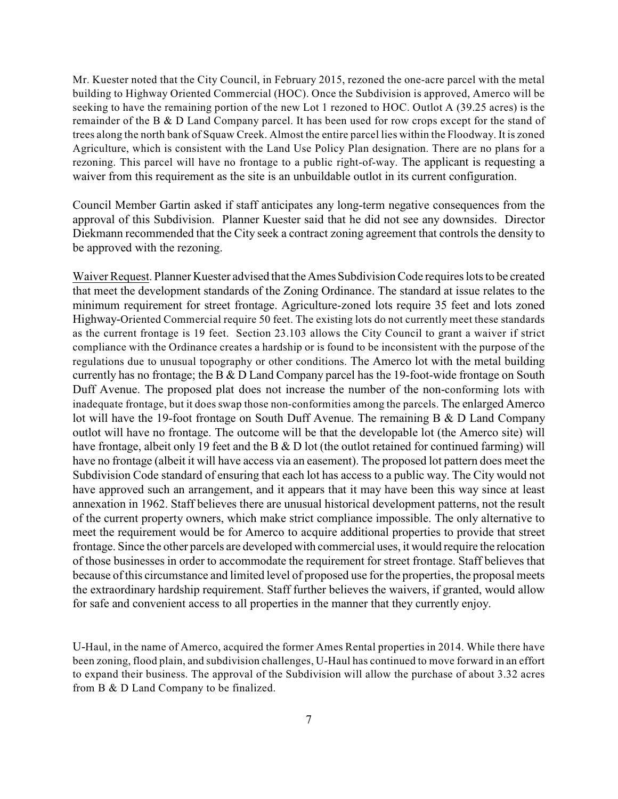Mr. Kuester noted that the City Council, in February 2015, rezoned the one-acre parcel with the metal building to Highway Oriented Commercial (HOC). Once the Subdivision is approved, Amerco will be seeking to have the remaining portion of the new Lot 1 rezoned to HOC. Outlot A (39.25 acres) is the remainder of the B & D Land Company parcel. It has been used for row crops except for the stand of trees along the north bank of Squaw Creek. Almost the entire parcel lies within the Floodway. It is zoned Agriculture, which is consistent with the Land Use Policy Plan designation. There are no plans for a rezoning. This parcel will have no frontage to a public right-of-way. The applicant is requesting a waiver from this requirement as the site is an unbuildable outlot in its current configuration.

Council Member Gartin asked if staff anticipates any long-term negative consequences from the approval of this Subdivision. Planner Kuester said that he did not see any downsides. Director Diekmann recommended that the City seek a contract zoning agreement that controls the density to be approved with the rezoning.

Waiver Request. Planner Kuester advised that the Ames Subdivision Code requires lots to be created that meet the development standards of the Zoning Ordinance. The standard at issue relates to the minimum requirement for street frontage. Agriculture-zoned lots require 35 feet and lots zoned Highway-Oriented Commercial require 50 feet. The existing lots do not currently meet these standards as the current frontage is 19 feet. Section 23.103 allows the City Council to grant a waiver if strict compliance with the Ordinance creates a hardship or is found to be inconsistent with the purpose of the regulations due to unusual topography or other conditions. The Amerco lot with the metal building currently has no frontage; the B & D Land Company parcel has the 19-foot-wide frontage on South Duff Avenue. The proposed plat does not increase the number of the non-conforming lots with inadequate frontage, but it does swap those non-conformities among the parcels. The enlarged Amerco lot will have the 19-foot frontage on South Duff Avenue. The remaining B & D Land Company outlot will have no frontage. The outcome will be that the developable lot (the Amerco site) will have frontage, albeit only 19 feet and the B & D lot (the outlot retained for continued farming) will have no frontage (albeit it will have access via an easement). The proposed lot pattern does meet the Subdivision Code standard of ensuring that each lot has access to a public way. The City would not have approved such an arrangement, and it appears that it may have been this way since at least annexation in 1962. Staff believes there are unusual historical development patterns, not the result of the current property owners, which make strict compliance impossible. The only alternative to meet the requirement would be for Amerco to acquire additional properties to provide that street frontage. Since the other parcels are developed with commercial uses, it would require the relocation of those businesses in order to accommodate the requirement for street frontage. Staff believes that because of this circumstance and limited level of proposed use for the properties, the proposal meets the extraordinary hardship requirement. Staff further believes the waivers, if granted, would allow for safe and convenient access to all properties in the manner that they currently enjoy.

U-Haul, in the name of Amerco, acquired the former Ames Rental properties in 2014. While there have been zoning, flood plain, and subdivision challenges, U-Haul has continued to move forward in an effort to expand their business. The approval of the Subdivision will allow the purchase of about 3.32 acres from B & D Land Company to be finalized.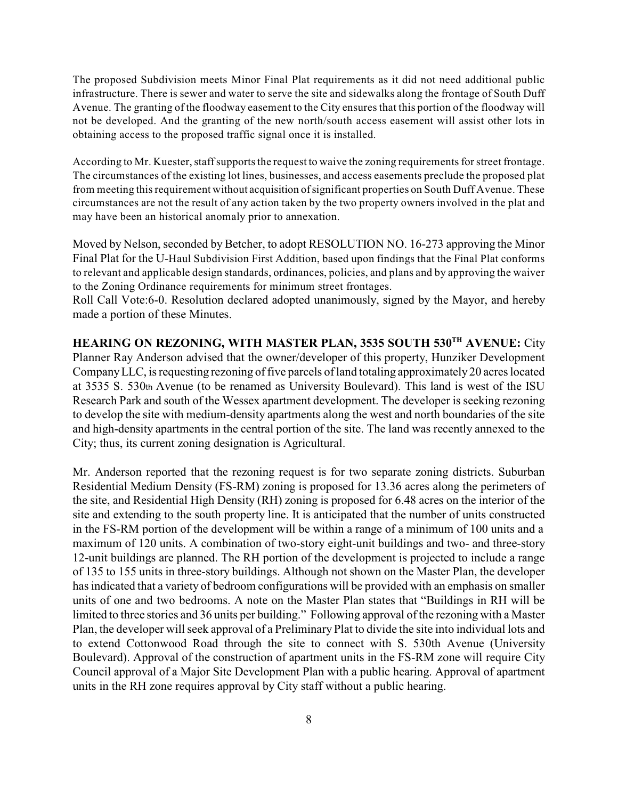The proposed Subdivision meets Minor Final Plat requirements as it did not need additional public infrastructure. There is sewer and water to serve the site and sidewalks along the frontage of South Duff Avenue. The granting of the floodway easement to the City ensures that this portion of the floodway will not be developed. And the granting of the new north/south access easement will assist other lots in obtaining access to the proposed traffic signal once it is installed.

According to Mr. Kuester, staff supports the request to waive the zoning requirements for street frontage. The circumstances of the existing lot lines, businesses, and access easements preclude the proposed plat from meeting this requirement without acquisition of significant properties on South Duff Avenue. These circumstances are not the result of any action taken by the two property owners involved in the plat and may have been an historical anomaly prior to annexation.

Moved by Nelson, seconded by Betcher, to adopt RESOLUTION NO. 16-273 approving the Minor Final Plat for the U-Haul Subdivision First Addition, based upon findings that the Final Plat conforms to relevant and applicable design standards, ordinances, policies, and plans and by approving the waiver to the Zoning Ordinance requirements for minimum street frontages.

Roll Call Vote:6-0. Resolution declared adopted unanimously, signed by the Mayor, and hereby made a portion of these Minutes.

**HEARING ON REZONING, WITH MASTER PLAN, 3535 SOUTH 530<sup>TH</sup> AVENUE:** City Planner Ray Anderson advised that the owner/developer of this property, Hunziker Development Company LLC, is requesting rezoning of five parcels of land totaling approximately 20 acres located at 3535 S. 530th Avenue (to be renamed as University Boulevard). This land is west of the ISU Research Park and south of the Wessex apartment development. The developer is seeking rezoning to develop the site with medium-density apartments along the west and north boundaries of the site and high-density apartments in the central portion of the site. The land was recently annexed to the City; thus, its current zoning designation is Agricultural.

Mr. Anderson reported that the rezoning request is for two separate zoning districts. Suburban Residential Medium Density (FS-RM) zoning is proposed for 13.36 acres along the perimeters of the site, and Residential High Density (RH) zoning is proposed for 6.48 acres on the interior of the site and extending to the south property line. It is anticipated that the number of units constructed in the FS-RM portion of the development will be within a range of a minimum of 100 units and a maximum of 120 units. A combination of two-story eight-unit buildings and two- and three-story 12-unit buildings are planned. The RH portion of the development is projected to include a range of 135 to 155 units in three-story buildings. Although not shown on the Master Plan, the developer has indicated that a variety of bedroom configurations will be provided with an emphasis on smaller units of one and two bedrooms. A note on the Master Plan states that "Buildings in RH will be limited to three stories and 36 units per building." Following approval of the rezoning with a Master Plan, the developer will seek approval of a Preliminary Plat to divide the site into individual lots and to extend Cottonwood Road through the site to connect with S. 530th Avenue (University Boulevard). Approval of the construction of apartment units in the FS-RM zone will require City Council approval of a Major Site Development Plan with a public hearing. Approval of apartment units in the RH zone requires approval by City staff without a public hearing.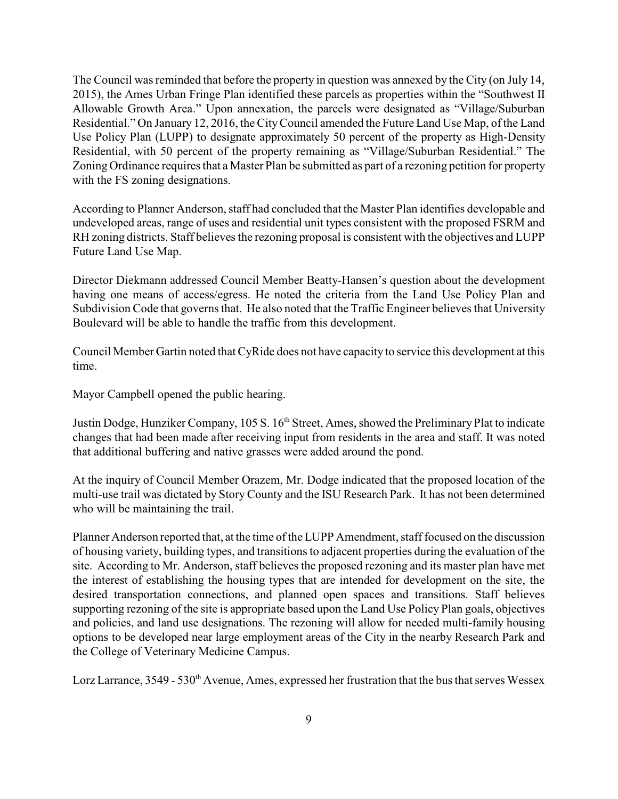The Council was reminded that before the property in question was annexed by the City (on July 14, 2015), the Ames Urban Fringe Plan identified these parcels as properties within the "Southwest II Allowable Growth Area." Upon annexation, the parcels were designated as "Village/Suburban Residential." On January 12, 2016, the CityCouncil amended the Future Land Use Map, of the Land Use Policy Plan (LUPP) to designate approximately 50 percent of the property as High-Density Residential, with 50 percent of the property remaining as "Village/Suburban Residential." The Zoning Ordinance requires that a Master Plan be submitted as part of a rezoning petition for property with the FS zoning designations.

According to Planner Anderson, staff had concluded that the Master Plan identifies developable and undeveloped areas, range of uses and residential unit types consistent with the proposed FSRM and RH zoning districts. Staff believes the rezoning proposal is consistent with the objectives and LUPP Future Land Use Map.

Director Diekmann addressed Council Member Beatty-Hansen's question about the development having one means of access/egress. He noted the criteria from the Land Use Policy Plan and Subdivision Code that governs that. He also noted that the Traffic Engineer believes that University Boulevard will be able to handle the traffic from this development.

Council Member Gartin noted that CyRide does not have capacity to service this development at this time.

Mayor Campbell opened the public hearing.

Justin Dodge, Hunziker Company, 105 S. 16<sup>th</sup> Street, Ames, showed the Preliminary Plat to indicate changes that had been made after receiving input from residents in the area and staff. It was noted that additional buffering and native grasses were added around the pond.

At the inquiry of Council Member Orazem, Mr. Dodge indicated that the proposed location of the multi-use trail was dictated by Story County and the ISU Research Park. It has not been determined who will be maintaining the trail.

Planner Anderson reported that, at the time of the LUPP Amendment, staff focused on the discussion of housing variety, building types, and transitions to adjacent properties during the evaluation of the site. According to Mr. Anderson, staff believes the proposed rezoning and its master plan have met the interest of establishing the housing types that are intended for development on the site, the desired transportation connections, and planned open spaces and transitions. Staff believes supporting rezoning of the site is appropriate based upon the Land Use Policy Plan goals, objectives and policies, and land use designations. The rezoning will allow for needed multi-family housing options to be developed near large employment areas of the City in the nearby Research Park and the College of Veterinary Medicine Campus.

Lorz Larrance,  $3549 - 530$ <sup>th</sup> Avenue, Ames, expressed her frustration that the bus that serves Wessex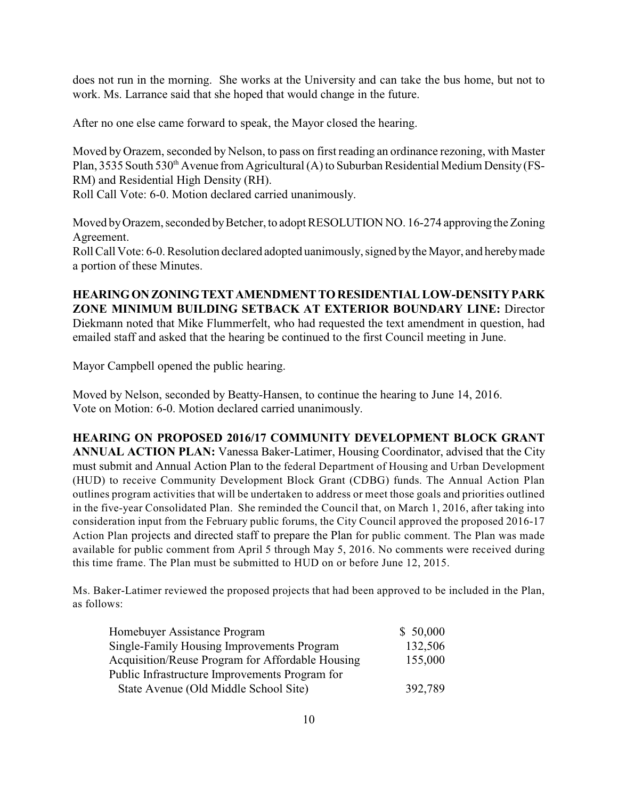does not run in the morning. She works at the University and can take the bus home, but not to work. Ms. Larrance said that she hoped that would change in the future.

After no one else came forward to speak, the Mayor closed the hearing.

Moved by Orazem, seconded by Nelson, to pass on first reading an ordinance rezoning, with Master Plan, 3535 South 530<sup>th</sup> Avenue from Agricultural (A) to Suburban Residential Medium Density (FS-RM) and Residential High Density (RH).

Roll Call Vote: 6-0. Motion declared carried unanimously.

Moved by Orazem, seconded by Betcher, to adopt RESOLUTION NO. 16-274 approving the Zoning Agreement.

Roll Call Vote: 6-0. Resolution declared adopted uanimously, signed by the Mayor, and hereby made a portion of these Minutes.

**HEARING ON ZONING TEXT AMENDMENT TO RESIDENTIAL LOW-DENSITY PARK ZONE MINIMUM BUILDING SETBACK AT EXTERIOR BOUNDARY LINE:** Director Diekmann noted that Mike Flummerfelt, who had requested the text amendment in question, had emailed staff and asked that the hearing be continued to the first Council meeting in June.

Mayor Campbell opened the public hearing.

Moved by Nelson, seconded by Beatty-Hansen, to continue the hearing to June 14, 2016. Vote on Motion: 6-0. Motion declared carried unanimously.

## **HEARING ON PROPOSED 2016/17 COMMUNITY DEVELOPMENT BLOCK GRANT**

**ANNUAL ACTION PLAN:** Vanessa Baker-Latimer, Housing Coordinator, advised that the City must submit and Annual Action Plan to the federal Department of Housing and Urban Development (HUD) to receive Community Development Block Grant (CDBG) funds. The Annual Action Plan outlines program activities that will be undertaken to address or meet those goals and priorities outlined in the five-year Consolidated Plan. She reminded the Council that, on March 1, 2016, after taking into consideration input from the February public forums, the City Council approved the proposed 2016-17 Action Plan projects and directed staff to prepare the Plan for public comment. The Plan was made available for public comment from April 5 through May 5, 2016. No comments were received during this time frame. The Plan must be submitted to HUD on or before June 12, 2015.

Ms. Baker-Latimer reviewed the proposed projects that had been approved to be included in the Plan, as follows:

| <b>Homebuyer Assistance Program</b>              | \$50,000 |
|--------------------------------------------------|----------|
| Single-Family Housing Improvements Program       | 132,506  |
| Acquisition/Reuse Program for Affordable Housing | 155,000  |
| Public Infrastructure Improvements Program for   |          |
| State Avenue (Old Middle School Site)            | 392,789  |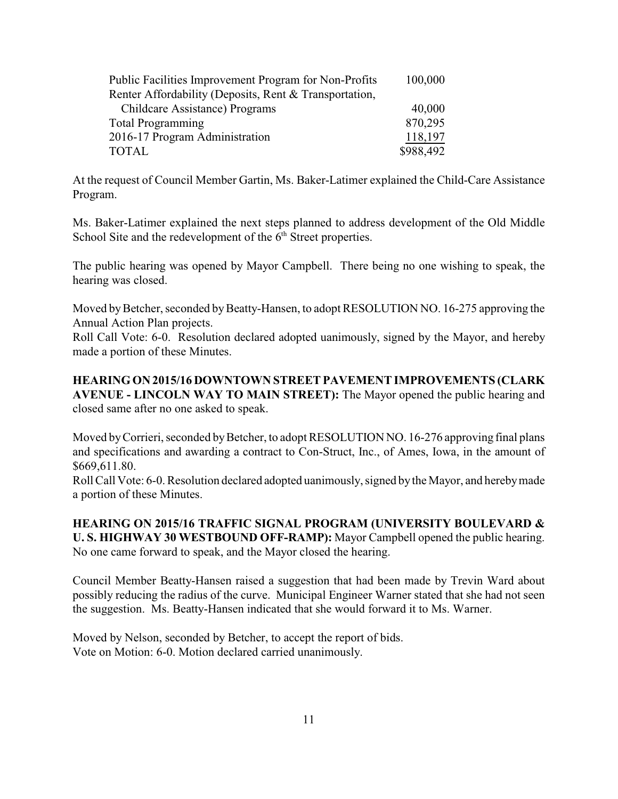| Public Facilities Improvement Program for Non-Profits  | 100,000   |
|--------------------------------------------------------|-----------|
| Renter Affordability (Deposits, Rent & Transportation, |           |
| Childcare Assistance) Programs                         | 40,000    |
| <b>Total Programming</b>                               | 870,295   |
| 2016-17 Program Administration                         | 118,197   |
| TOTAL                                                  | \$988,492 |

At the request of Council Member Gartin, Ms. Baker-Latimer explained the Child-Care Assistance Program.

Ms. Baker-Latimer explained the next steps planned to address development of the Old Middle School Site and the redevelopment of the  $6<sup>th</sup>$  Street properties.

The public hearing was opened by Mayor Campbell. There being no one wishing to speak, the hearing was closed.

Moved by Betcher, seconded by Beatty-Hansen, to adopt RESOLUTION NO. 16-275 approving the Annual Action Plan projects.

Roll Call Vote: 6-0. Resolution declared adopted uanimously, signed by the Mayor, and hereby made a portion of these Minutes.

**HEARING ON 2015/16 DOWNTOWN STREET PAVEMENT IMPROVEMENTS (CLARK AVENUE - LINCOLN WAY TO MAIN STREET):** The Mayor opened the public hearing and closed same after no one asked to speak.

Moved by Corrieri, seconded by Betcher, to adopt RESOLUTION NO. 16-276 approving final plans and specifications and awarding a contract to Con-Struct, Inc., of Ames, Iowa, in the amount of \$669,611.80.

Roll Call Vote: 6-0. Resolution declared adopted uanimously, signed by the Mayor, and hereby made a portion of these Minutes.

**HEARING ON 2015/16 TRAFFIC SIGNAL PROGRAM (UNIVERSITY BOULEVARD & U. S. HIGHWAY 30 WESTBOUND OFF-RAMP):** Mayor Campbell opened the public hearing. No one came forward to speak, and the Mayor closed the hearing.

Council Member Beatty-Hansen raised a suggestion that had been made by Trevin Ward about possibly reducing the radius of the curve. Municipal Engineer Warner stated that she had not seen the suggestion. Ms. Beatty-Hansen indicated that she would forward it to Ms. Warner.

Moved by Nelson, seconded by Betcher, to accept the report of bids. Vote on Motion: 6-0. Motion declared carried unanimously.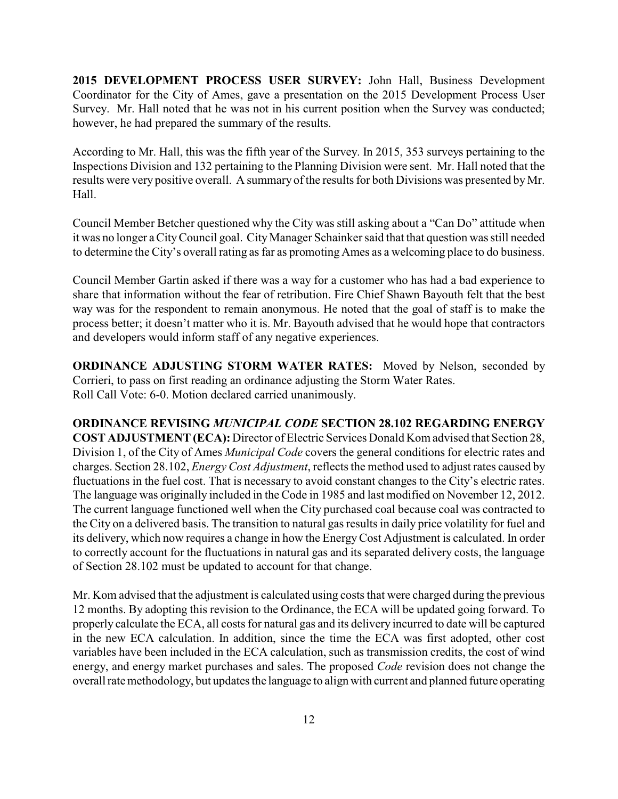**2015 DEVELOPMENT PROCESS USER SURVEY:** John Hall, Business Development Coordinator for the City of Ames, gave a presentation on the 2015 Development Process User Survey. Mr. Hall noted that he was not in his current position when the Survey was conducted; however, he had prepared the summary of the results.

According to Mr. Hall, this was the fifth year of the Survey. In 2015, 353 surveys pertaining to the Inspections Division and 132 pertaining to the Planning Division were sent. Mr. Hall noted that the results were very positive overall. A summary of the results for both Divisions was presented by Mr. Hall.

Council Member Betcher questioned why the City was still asking about a "Can Do" attitude when it was no longer a CityCouncil goal. CityManager Schainker said that that question was still needed to determine the City's overall rating as far as promoting Ames as a welcoming place to do business.

Council Member Gartin asked if there was a way for a customer who has had a bad experience to share that information without the fear of retribution. Fire Chief Shawn Bayouth felt that the best way was for the respondent to remain anonymous. He noted that the goal of staff is to make the process better; it doesn't matter who it is. Mr. Bayouth advised that he would hope that contractors and developers would inform staff of any negative experiences.

**ORDINANCE ADJUSTING STORM WATER RATES:** Moved by Nelson, seconded by Corrieri, to pass on first reading an ordinance adjusting the Storm Water Rates. Roll Call Vote: 6-0. Motion declared carried unanimously.

**ORDINANCE REVISING** *MUNICIPAL CODE* **SECTION 28.102 REGARDING ENERGY COST ADJUSTMENT (ECA):** Director of Electric Services Donald Kom advised that Section 28, Division 1, of the City of Ames *Municipal Code* covers the general conditions for electric rates and charges. Section 28.102, *Energy Cost Adjustment*, reflects the method used to adjust rates caused by fluctuations in the fuel cost. That is necessary to avoid constant changes to the City's electric rates. The language was originally included in the Code in 1985 and last modified on November 12, 2012. The current language functioned well when the City purchased coal because coal was contracted to the City on a delivered basis. The transition to natural gas results in daily price volatility for fuel and its delivery, which now requires a change in how the Energy Cost Adjustment is calculated. In order to correctly account for the fluctuations in natural gas and its separated delivery costs, the language of Section 28.102 must be updated to account for that change.

Mr. Kom advised that the adjustment is calculated using costs that were charged during the previous 12 months. By adopting this revision to the Ordinance, the ECA will be updated going forward. To properly calculate the ECA, all costs for natural gas and its delivery incurred to date will be captured in the new ECA calculation. In addition, since the time the ECA was first adopted, other cost variables have been included in the ECA calculation, such as transmission credits, the cost of wind energy, and energy market purchases and sales. The proposed *Code* revision does not change the overall rate methodology, but updates the language to align with current and planned future operating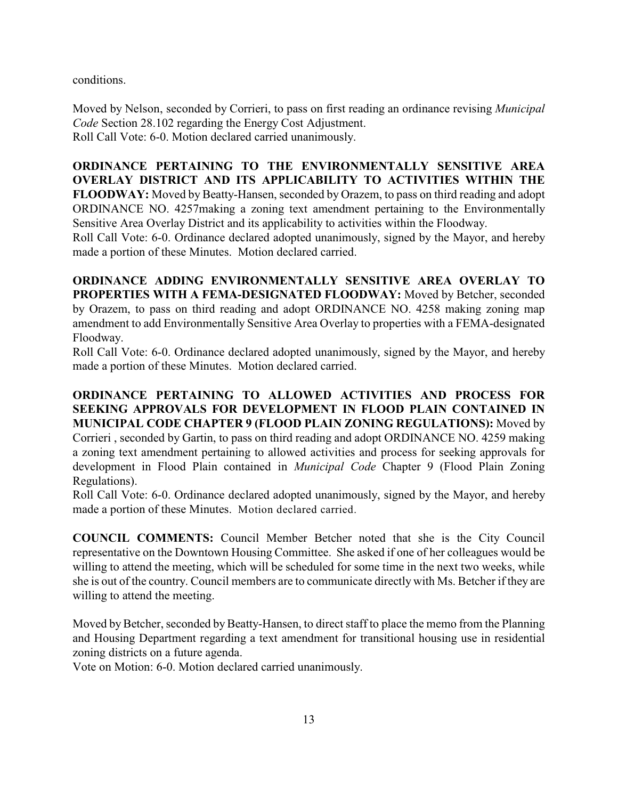conditions.

Moved by Nelson, seconded by Corrieri, to pass on first reading an ordinance revising *Municipal Code* Section 28.102 regarding the Energy Cost Adjustment. Roll Call Vote: 6-0. Motion declared carried unanimously.

**ORDINANCE PERTAINING TO THE ENVIRONMENTALLY SENSITIVE AREA OVERLAY DISTRICT AND ITS APPLICABILITY TO ACTIVITIES WITHIN THE FLOODWAY:** Moved by Beatty-Hansen, seconded by Orazem, to pass on third reading and adopt ORDINANCE NO. 4257making a zoning text amendment pertaining to the Environmentally Sensitive Area Overlay District and its applicability to activities within the Floodway.

Roll Call Vote: 6-0. Ordinance declared adopted unanimously, signed by the Mayor, and hereby made a portion of these Minutes. Motion declared carried.

**ORDINANCE ADDING ENVIRONMENTALLY SENSITIVE AREA OVERLAY TO PROPERTIES WITH A FEMA-DESIGNATED FLOODWAY:** Moved by Betcher, seconded by Orazem, to pass on third reading and adopt ORDINANCE NO. 4258 making zoning map amendment to add Environmentally Sensitive Area Overlay to properties with a FEMA-designated Floodway.

Roll Call Vote: 6-0. Ordinance declared adopted unanimously, signed by the Mayor, and hereby made a portion of these Minutes. Motion declared carried.

**ORDINANCE PERTAINING TO ALLOWED ACTIVITIES AND PROCESS FOR SEEKING APPROVALS FOR DEVELOPMENT IN FLOOD PLAIN CONTAINED IN MUNICIPAL CODE CHAPTER 9 (FLOOD PLAIN ZONING REGULATIONS):** Moved by Corrieri , seconded by Gartin, to pass on third reading and adopt ORDINANCE NO. 4259 making a zoning text amendment pertaining to allowed activities and process for seeking approvals for development in Flood Plain contained in *Municipal Code* Chapter 9 (Flood Plain Zoning Regulations).

Roll Call Vote: 6-0. Ordinance declared adopted unanimously, signed by the Mayor, and hereby made a portion of these Minutes. Motion declared carried.

**COUNCIL COMMENTS:** Council Member Betcher noted that she is the City Council representative on the Downtown Housing Committee. She asked if one of her colleagues would be willing to attend the meeting, which will be scheduled for some time in the next two weeks, while she is out of the country. Council members are to communicate directly with Ms. Betcher if they are willing to attend the meeting.

Moved by Betcher, seconded by Beatty-Hansen, to direct staff to place the memo from the Planning and Housing Department regarding a text amendment for transitional housing use in residential zoning districts on a future agenda.

Vote on Motion: 6-0. Motion declared carried unanimously.